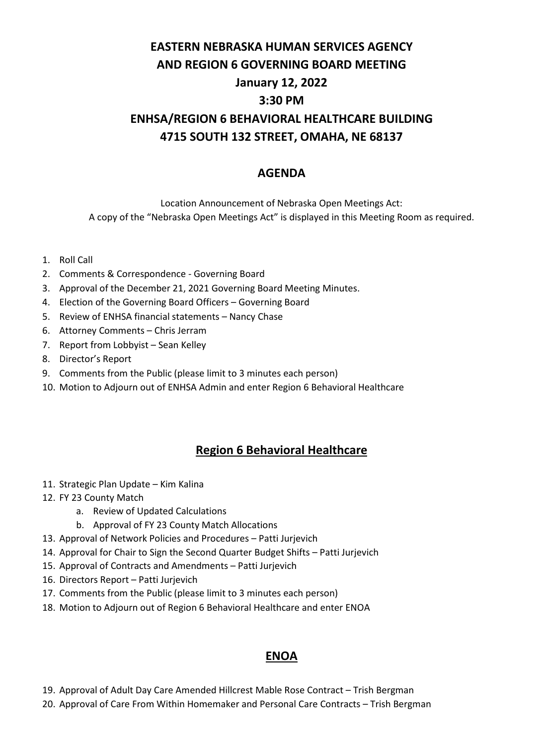# **EASTERN NEBRASKA HUMAN SERVICES AGENCY AND REGION 6 GOVERNING BOARD MEETING January 12, 2022 3:30 PM ENHSA/REGION 6 BEHAVIORAL HEALTHCARE BUILDING 4715 SOUTH 132 STREET, OMAHA, NE 68137**

## **AGENDA**

Location Announcement of Nebraska Open Meetings Act: A copy of the "Nebraska Open Meetings Act" is displayed in this Meeting Room as required.

- 1. Roll Call
- 2. Comments & Correspondence Governing Board
- 3. Approval of the December 21, 2021 Governing Board Meeting Minutes.
- 4. Election of the Governing Board Officers Governing Board
- 5. Review of ENHSA financial statements Nancy Chase
- 6. Attorney Comments Chris Jerram
- 7. Report from Lobbyist Sean Kelley
- 8. Director's Report
- 9. Comments from the Public (please limit to 3 minutes each person)
- 10. Motion to Adjourn out of ENHSA Admin and enter Region 6 Behavioral Healthcare

## **Region 6 Behavioral Healthcare**

- 11. Strategic Plan Update Kim Kalina
- 12. FY 23 County Match
	- a. Review of Updated Calculations
	- b. Approval of FY 23 County Match Allocations
- 13. Approval of Network Policies and Procedures Patti Jurjevich
- 14. Approval for Chair to Sign the Second Quarter Budget Shifts Patti Jurjevich
- 15. Approval of Contracts and Amendments Patti Jurjevich
- 16. Directors Report Patti Jurjevich
- 17. Comments from the Public (please limit to 3 minutes each person)
- 18. Motion to Adjourn out of Region 6 Behavioral Healthcare and enter ENOA

### **ENOA**

- 19. Approval of Adult Day Care Amended Hillcrest Mable Rose Contract Trish Bergman
- 20. Approval of Care From Within Homemaker and Personal Care Contracts Trish Bergman